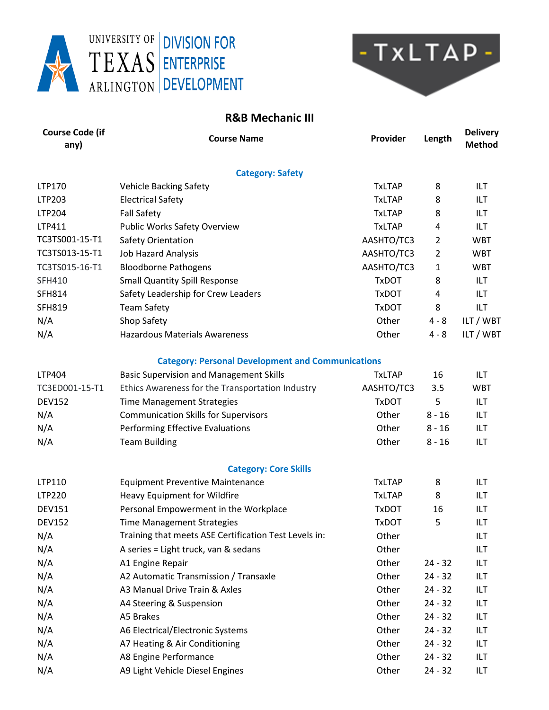



## **R&B Mechanic III**

| <b>Course Code (if</b><br>any) | <b>Course Name</b>                                       | Provider      | Length         | <b>Delivery</b><br><b>Method</b> |
|--------------------------------|----------------------------------------------------------|---------------|----------------|----------------------------------|
|                                | <b>Category: Safety</b>                                  |               |                |                                  |
| LTP170                         | <b>Vehicle Backing Safety</b>                            | <b>TxLTAP</b> | 8              | ILT.                             |
| LTP203                         | <b>Electrical Safety</b>                                 | <b>TxLTAP</b> | 8              | ILT                              |
| LTP204                         | <b>Fall Safety</b>                                       | <b>TxLTAP</b> | 8              | ILT.                             |
| LTP411                         | <b>Public Works Safety Overview</b>                      | <b>TxLTAP</b> | 4              | <b>ILT</b>                       |
| TC3TS001-15-T1                 | Safety Orientation                                       | AASHTO/TC3    | $\overline{2}$ | <b>WBT</b>                       |
| TC3TS013-15-T1                 | <b>Job Hazard Analysis</b>                               | AASHTO/TC3    | $\overline{2}$ | <b>WBT</b>                       |
| TC3TS015-16-T1                 | <b>Bloodborne Pathogens</b>                              | AASHTO/TC3    | 1              | <b>WBT</b>                       |
| <b>SFH410</b>                  | <b>Small Quantity Spill Response</b>                     | <b>TxDOT</b>  | 8              | <b>ILT</b>                       |
| <b>SFH814</b>                  | Safety Leadership for Crew Leaders                       | <b>TxDOT</b>  | 4              | ILT.                             |
| <b>SFH819</b>                  | <b>Team Safety</b>                                       | <b>TxDOT</b>  | 8              | ILT                              |
| N/A                            | Shop Safety                                              | Other         | $4 - 8$        | ILT / WBT                        |
| N/A                            | <b>Hazardous Materials Awareness</b>                     | Other         | $4 - 8$        | ILT / WBT                        |
|                                | <b>Category: Personal Development and Communications</b> |               |                |                                  |
| LTP404                         | <b>Basic Supervision and Management Skills</b>           | <b>TxLTAP</b> | 16             | <b>ILT</b>                       |
| TC3ED001-15-T1                 | Ethics Awareness for the Transportation Industry         | AASHTO/TC3    | 3.5            | <b>WBT</b>                       |
| <b>DEV152</b>                  | <b>Time Management Strategies</b>                        | <b>TxDOT</b>  | 5              | ILT.                             |
| N/A                            | <b>Communication Skills for Supervisors</b>              | Other         | $8 - 16$       | <b>ILT</b>                       |
| N/A                            | Performing Effective Evaluations                         | Other         | $8 - 16$       | <b>ILT</b>                       |
| N/A                            | <b>Team Building</b>                                     | Other         | $8 - 16$       | ILT                              |
|                                | <b>Category: Core Skills</b>                             |               |                |                                  |
| LTP110                         | <b>Equipment Preventive Maintenance</b>                  | <b>TxLTAP</b> | 8              | <b>ILT</b>                       |
| LTP220                         | Heavy Equipment for Wildfire                             | <b>TxLTAP</b> | 8              | ILT                              |
| <b>DEV151</b>                  | Personal Empowerment in the Workplace                    | <b>TxDOT</b>  | 16             | ILT                              |
| <b>DEV152</b>                  | <b>Time Management Strategies</b>                        | <b>TxDOT</b>  | 5              | ILT                              |
| N/A                            | Training that meets ASE Certification Test Levels in:    | Other         |                | ILT                              |
| N/A                            | A series = Light truck, van & sedans                     | Other         |                | ILT                              |
| N/A                            | A1 Engine Repair                                         | Other         | $24 - 32$      | ILT                              |
| N/A                            | A2 Automatic Transmission / Transaxle                    | Other         | $24 - 32$      | ILT                              |
| N/A                            | A3 Manual Drive Train & Axles                            | Other         | $24 - 32$      | ILT                              |
| N/A                            | A4 Steering & Suspension                                 | Other         | $24 - 32$      | ILT                              |
| N/A                            | A5 Brakes                                                | Other         | $24 - 32$      | ILT                              |
| N/A                            | A6 Electrical/Electronic Systems                         | Other         | $24 - 32$      | ILT                              |
| N/A                            | A7 Heating & Air Conditioning                            | Other         | $24 - 32$      | ILT                              |
| N/A                            | A8 Engine Performance                                    | Other         | $24 - 32$      | ILT                              |
| N/A                            | A9 Light Vehicle Diesel Engines                          | Other         | $24 - 32$      | ILT                              |